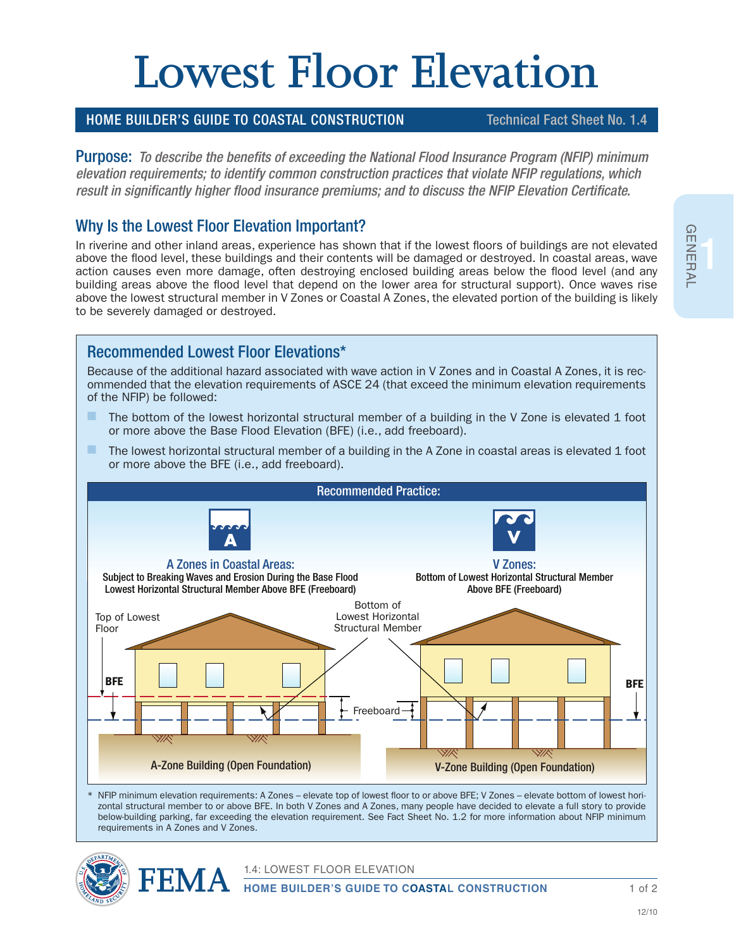# **Lowest Floor Elevation**

#### HOME BUILDER'S GUIDE TO COASTAL CONSTRUCTION Technical Fact Sheet No. 1.4

Purpose: *To describe the benefits of exceeding the National Flood Insurance Program (NFIP) minimum elevation requirements; to identify common construction practices that violate NFIP regulations, which result in significantly higher flood insurance premiums; and to discuss the NFIP Elevation Certificate.* 

### Why Is the Lowest Floor Elevation Important?

In riverine and other inland areas, experience has shown that if the lowest floors of buildings are not elevated above the flood level, these buildings and their contents will be damaged or destroyed. In coastal areas, wave action causes even more damage, often destroying enclosed building areas below the flood level (and any building areas above the flood level that depend on the lower area for structural support). Once waves rise above the lowest structural member in V Zones or Coastal A Zones, the elevated portion of the building is likely to be severely damaged or destroyed.

# Recommended Lowest Floor Elevations\*

Because of the additional hazard associated with wave action in V Zones and in Coastal A Zones, it is recommended that the elevation requirements of ASCE 24 (that exceed the minimum elevation requirements of the NFIP) be followed:

- The bottom of the lowest horizontal structural member of a building in the V Zone is elevated 1 foot or more above the Base Flood Elevation (BFE) (i.e., add freeboard).
- $\blacksquare$  The lowest horizontal structural member of a building in the A Zone in coastal areas is elevated 1 foot or more above the BFE (i.e., add freeboard).



NFIP minimum elevation requirements: A Zones – elevate top of lowest floor to or above BFE; V Zones – elevate bottom of lowest horizontal structural member to or above BFE. In both V Zones and A Zones, many people have decided to elevate a full story to provide below-building parking, far exceeding the elevation requirement. See Fact Sheet No. 1.2 for more information about NFIP minimum requirements in A Zones and V Zones.





1.4: LOWEST FLOOR ELEVATION

**HOME BUILDER'S GUIDE TO COASTAL CONSTRUCTION**